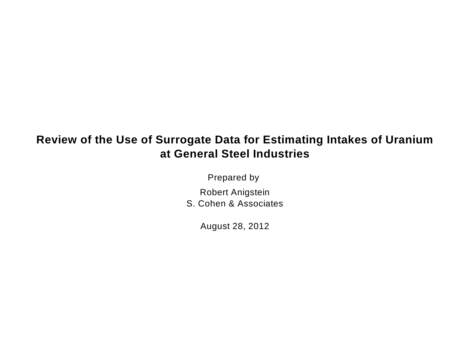# **Review of the Use of Surrogate Data for Estimating Intakes of Uranium at General Steel Industries**

Prepared by

Robert Anigstein

S. Cohen & Associates

August 28, 2012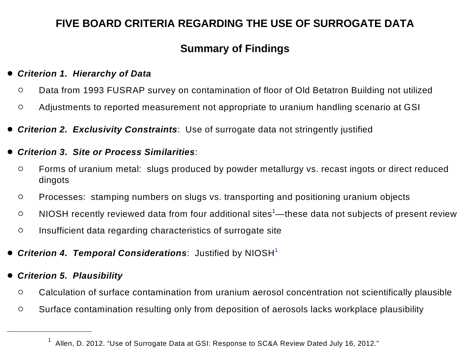# **FIVE BOARD CRITERIA REGARDING THE USE OF SURROGATE DATA**

## <span id="page-1-0"></span>**Summary of Findings**

#### • *Criterion 1. Hierarchy of Data*

- **O** Data from 1993 FUSRAP survey on contamination of floor of Old Betatron Building not utilized
- o Adjustments to reported measurement not appropriate to uranium handling scenario at GSI
- *Criterion 2. Exclusivity Constraints*: Use of surrogate data not stringently justified

### • *Criterion 3. Site or Process Similarities*:

- o Forms of uranium metal: slugs produced by powder metallurgy vs. recast ingots or direct reduced dingots
- o Processes: stamping numbers on slugs vs. transporting and positioning uranium objects
- $\circ$  NIOSH recently reviewed data from four additional sites<sup>1</sup>—these data not subjects of present review
- o Insufficient data regarding characteristics of surrogate site
- *Criterion 4. Temporal Considerations*: Justified by NIOSH[1](#page-1-0)
- *Criterion 5. Plausibility* 
	- o Calculation of surface contamination from uranium aerosol concentration not scientifically plausible
	- o Surface contamination resulting only from deposition of aerosols lacks workplace plausibility

<sup>&</sup>lt;sup>1</sup> Allen, D. 2012. "Use of Surrogate Data at GSI: Response to SC&A Review Dated July 16, 2012."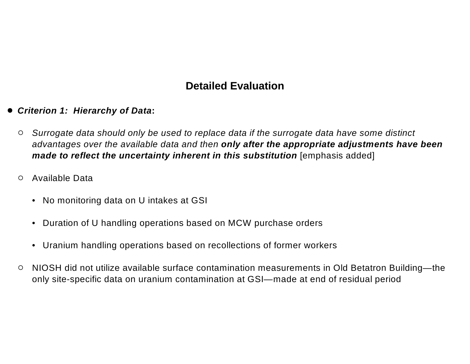### **Detailed Evaluation**

- *Criterion 1: Hierarchy of Data***:** 
	- o *Surrogate data should only be used to replace data if the surrogate data have some distinct advantages over the available data and then only after the appropriate adjustments have been made to reflect the uncertainty inherent in this substitution* [emphasis added]
	- o Available Data
		- No monitoring data on U intakes at GSI
		- Duration of U handling operations based on MCW purchase orders
		- Uranium handling operations based on recollections of former workers
	- NIOSH did not utilize available surface contamination measurements in Old Betatron Building—the only site-specific data on uranium contamination at GSI—made at end of residual period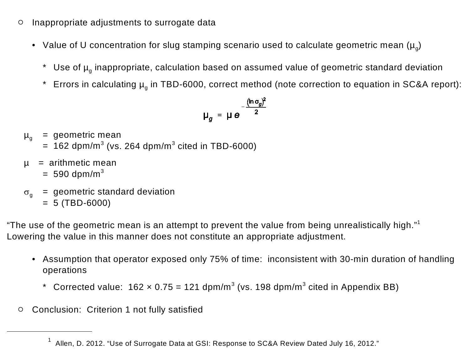- o Inappropriate adjustments to surrogate data
	- Value of U concentration for slug stamping scenario used to calculate geometric mean  $(\mu_{\alpha})$ 
		- \* Use of  $\mu_q$  inappropriate, calculation based on assumed value of geometric standard deviation
		- \* Errors in calculating  $\mu_q$  in TBD-6000, correct method (note correction to equation in SC&A report):

$$
\mu_g = \mu e^{-\frac{(\ln \sigma_g)^2}{2}}
$$

- $\mu_{\alpha}$  = geometric mean
	- $= 162$  dpm/m<sup>3</sup> (vs. 264 dpm/m<sup>3</sup> cited in TBD-6000)
- $\mu$  = arithmetic mean
	- $= 590$  dpm/m<sup>3</sup>
	- $g_{\text{g}}$  = geometric standard deviation
		- $= 5$  (TBD-6000)

"The use of the geometric mean is an attempt to prevent the value from being unrealistically high."<sup>1</sup> Lowering the value in this manner does not constitute an appropriate adjustment.

- Assumption that operator exposed only 75% of time: inconsistent with 30-min duration of handling operations
	- \* Corrected value:  $162 \times 0.75 = 121$  dpm/m<sup>3</sup> (vs. 198 dpm/m<sup>3</sup> cited in Appendix BB)
- o Conclusion: Criterion 1 not fully satisfied

<sup>&</sup>lt;sup>1</sup> Allen, D. 2012. "Use of Surrogate Data at GSI: Response to SC&A Review Dated July 16, 2012."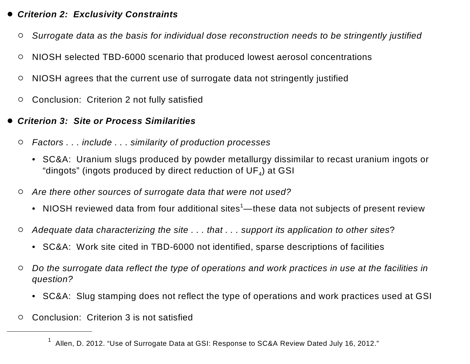### • *Criterion 2: Exclusivity Constraints*

- o *Surrogate data as the basis for individual dose reconstruction needs to be stringently justified*
- o NIOSH selected TBD-6000 scenario that produced lowest aerosol concentrations
- $\circ$  NIOSH agrees that the current use of surrogate data not stringently justified
- o Conclusion: Criterion 2 not fully satisfied
- **Criterion 3: Site or Process Similarities** 
	- o *Factors . . . include . . . similarity of production processes* 
		- SC&A: Uranium slugs produced by powder metallurgy dissimilar to recast uranium ingots or "dingots" (ingots produced by direct reduction of  $UF_4$ ) at GSI
	- o *Are there other sources of surrogate data that were not used?* 
		- NIOSH reviewed data from four additional sites<sup>1</sup>—these data not subjects of present review
	- o *Adequate data characterizing the site . . . that . . . support its application to other sites*?
		- SC&A: Work site cited in TBD-6000 not identified, sparse descriptions of facilities
	- Do the surrogate data reflect the type of operations and work practices in use at the facilities in *question?* 
		- SC&A: Slug stamping does not reflect the type of operations and work practices used at GSI
	- o Conclusion: Criterion 3 is not satisfied

<sup>1</sup> Allen, D. 2012. "Use of Surrogate Data at GSI: Response to SC&A Review Dated July 16, 2012."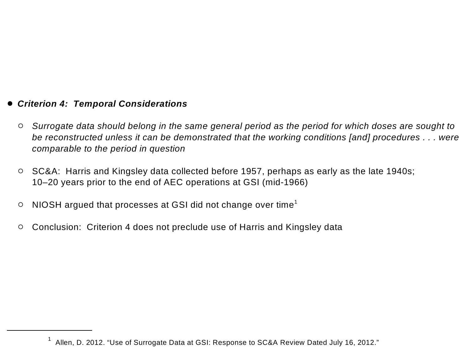### • *Criterion 4: Temporal Considerations*

- o *Surrogate data should belong in the same general period as the period for which doses are sought to be reconstructed unless it can be demonstrated that the working conditions [and] procedures . . . were comparable to the period in question*
- $\circ$  SC&A: Harris and Kingsley data collected before 1957, perhaps as early as the late 1940s; 10–20 years prior to the end of AEC operations at GSI (mid-1966)
- $\circ$  NIOSH argued that processes at GSI did not change over time<sup>1</sup>
- Conclusion: Criterion 4 does not preclude use of Harris and Kingsley data

 $1$  Allen, D. 2012. "Use of Surrogate Data at GSI: Response to SC&A Review Dated July 16, 2012."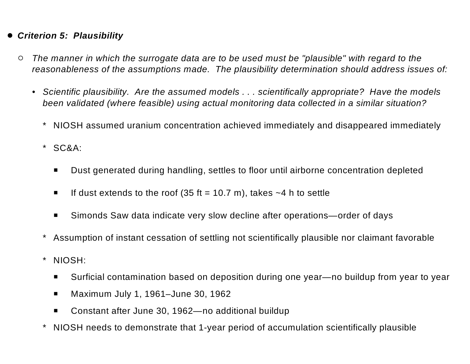### • *Criterion 5: Plausibility*

- o *The manner in which the surrogate data are to be used must be "plausible" with regard to the reasonableness of the assumptions made. The plausibility determination should address issues of:* 
	- *Scientific plausibility. Are the assumed models . . . scientifically appropriate? Have the models been validated (where feasible) using actual monitoring data collected in a similar situation?* 
		- \* NIOSH assumed uranium concentration achieved immediately and disappeared immediately
		- \* SC&A:
			- Dust generated during handling, settles to floor until airborne concentration depleted
			- **If dust extends to the roof (35 ft = 10.7 m), takes**  $\sim$ **4 h to settle**
			- Simonds Saw data indicate very slow decline after operations—order of days
		- Assumption of instant cessation of settling not scientifically plausible nor claimant favorable
		- \* NIOSH:
			- Surficial contamination based on deposition during one year—no buildup from year to year
			- Maximum July 1, 1961–June 30, 1962
			- Constant after June 30, 1962—no additional buildup
		- NIOSH needs to demonstrate that 1-year period of accumulation scientifically plausible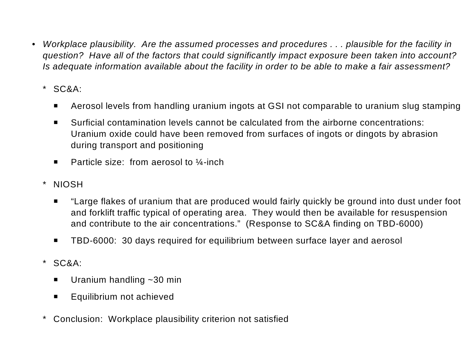- *Workplace plausibility. Are the assumed processes and procedures ... plausible for the facility in question? Have all of the factors that could significantly impact exposure been taken into account? Is adequate information available about the facility in order to be able to make a fair assessment?* 
	- \* SC&A:
		- **•** Aerosol levels from handling uranium ingots at GSI not comparable to uranium slug stamping
		- Surficial contamination levels cannot be calculated from the airborne concentrations: Uranium oxide could have been removed from surfaces of ingots or dingots by abrasion during transport and positioning
		- **•** Particle size: from aerosol to  $\frac{1}{4}$ -inch
	- \* NIOSH
		- **•** "Large flakes of uranium that are produced would fairly quickly be ground into dust under foot and forklift traffic typical of operating area. They would then be available for resuspension and contribute to the air concentrations." (Response to SC&A finding on TBD-6000)
		- **TBD-6000: 30 days required for equilibrium between surface layer and aerosol**
	- \* SC&A:
		- **•** Uranium handling  $\sim$  30 min
		- **•** Equilibrium not achieved
	- Conclusion: Workplace plausibility criterion not satisfied